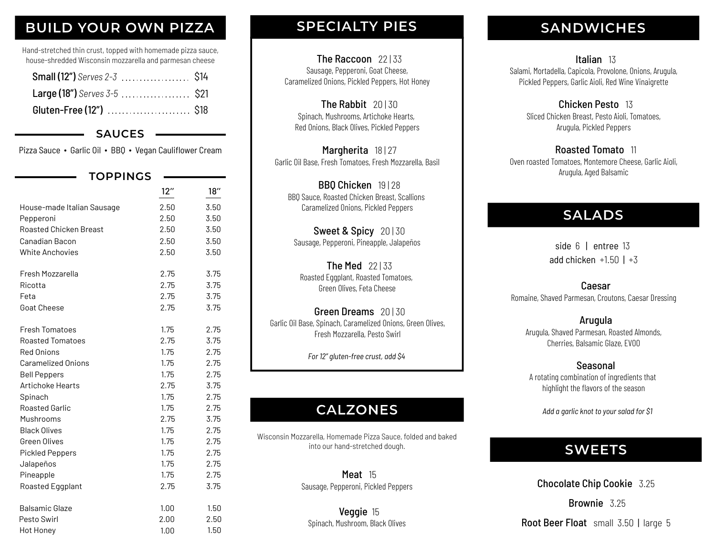# **BUILD YOUR OWN PIZZA**

Hand-stretched thin crust, topped with homemade pizza sauce, house-shredded Wisconsin mozzarella and parmesan cheese

#### **SAUCES**

Pizza Sauce ∙ Garlic Oil ∙ BBQ ∙ Vegan Cauliflower Cream

| <b>TOPPINGS</b>               |      |      |
|-------------------------------|------|------|
|                               | 12"  | 18"  |
| House-made Italian Sausage    | 2.50 | 3.50 |
| Pepperoni                     | 2.50 | 3.50 |
| <b>Roasted Chicken Breast</b> | 2.50 | 3.50 |
| Canadian Bacon                | 2.50 | 3.50 |
| <b>White Anchovies</b>        | 2.50 | 3.50 |
| Fresh Mozzarella              | 2.75 | 3.75 |
| Ricotta                       | 2.75 | 3.75 |
| Feta                          | 2.75 | 3.75 |
| <b>Goat Cheese</b>            | 2.75 | 3.75 |
| <b>Fresh Tomatoes</b>         | 1.75 | 2.75 |
| <b>Roasted Tomatoes</b>       | 2.75 | 3.75 |
| <b>Red Onions</b>             | 1.75 | 2.75 |
| <b>Caramelized Onions</b>     | 1.75 | 2.75 |
| <b>Bell Peppers</b>           | 1.75 | 2.75 |
| Artichoke Hearts              | 2.75 | 3.75 |
| Spinach                       | 1.75 | 2.75 |
| <b>Roasted Garlic</b>         | 1.75 | 2.75 |
| Mushrooms                     | 2.75 | 3.75 |
| <b>Black Olives</b>           | 1.75 | 2.75 |
| Green Olives                  | 1.75 | 2.75 |
| <b>Pickled Peppers</b>        | 1.75 | 2.75 |
| Jalapeños                     | 1.75 | 2.75 |
| Pineapple                     | 1.75 | 2.75 |
| Roasted Eggplant              | 2.75 | 3.75 |
| <b>Balsamic Glaze</b>         | 1.00 | 1.50 |
| Pesto Swirl                   | 2.00 | 2.50 |
| <b>Hot Honey</b>              | 1.00 | 1.50 |

# **SPECIALTY PIES**

The Raccoon 22133 Sausage, Pepperoni, Goat Cheese, Caramelized Onions, Pickled Peppers, Hot Honey

The Rabbit 20130 Spinach, Mushrooms, Artichoke Hearts, Red Onions, Black Olives, Pickled Peppers

Margherita 18 | 27 Garlic Oil Base, Fresh Tomatoes, Fresh Mozzarella, Basil

BBO Chicken 19 | 28 BBQ Sauce, Roasted Chicken Breast, Scallions Caramelized Onions, Pickled Peppers

**Sweet & Spicy 20 | 30** Sausage, Pepperoni, Pineapple, Jalapeños

The Med 22133 Roasted Eggplant, Roasted Tomatoes, Green Olives, Feta Cheese

Green Dreams 20 | 30 Garlic Oil Base, Spinach, Caramelized Onions, Green Olives, Fresh Mozzarella, Pesto Swirl

*For 12" gluten-free crust, add \$4*

# **CALZONES**

Wisconsin Mozzarella, Homemade Pizza Sauce, folded and baked into our hand-stretched dough.

> Meat 15 Sausage, Pepperoni, Pickled Peppers

Veggie 15 Spinach, Mushroom, Black Olives

# **SANDWICHES**

Italian 13 Salami, Mortadella, Capicola, Provolone, Onions, Arugula, Pickled Peppers, Garlic Aioli, Red Wine Vinaigrette

> Chicken Pesto 13 Sliced Chicken Breast, Pesto Aioli, Tomatoes, Arugula, Pickled Peppers

Roasted Tomato 11 Oven roasted Tomatoes, Montemore Cheese, Garlic Aioli, Arugula, Aged Balsamic

## **SALADS**

side 6 | entree 13 add chicken  $+1.50$  |  $+3$ 

Caesar Romaine, Shaved Parmesan, Croutons, Caesar Dressing

Arugula Arugula, Shaved Parmesan, Roasted Almonds, Cherries, Balsamic Glaze, EVOO

Seasonal A rotating combination of ingredients that highlight the flavors of the season

*Add a garlic knot to your salad for \$1*

# **SWEETS**

Chocolate Chip Cookie 3.25

Brownie 3.25

Root Beer Float small 3.50 | large 5